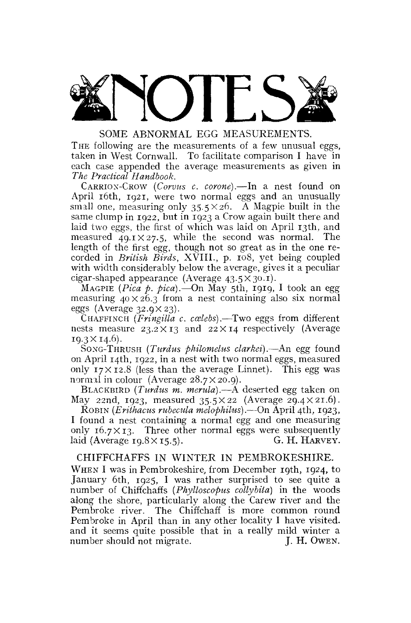

THE following are the measurements of a few unusual eggs, taken in West Cornwall. To facilitate comparison I have in each case appended the average measurements as given in *The Practical Handbook.* 

CARRION-CROW *(Corvus c. corone).*—In a nest found on April 16th, 1921, were two normal eggs and an unusually small one, measuring only  $35.5 \times 26$ . A Magpie built in the same clump in 1922, but in 1923 a Crow again built there and laid two eggs, the first of which was laid on April 13th, and measured  $49.1 \times 27.5$ , while the second was normal. The length of the first egg, though not so great as in the one recorded in *British Birds,* XVIII., p. 108, yet being coupled with width considerably below the average, gives it a peculiar cigar-shaped appearance (Average  $43.5 \times 30.1$ ).

MAGPIE *{Pica p. pica).*—On May 5th, 1919, I took an egg measuring  $40 \times 26.3$  from a nest containing also six normal eggs (Average  $32.9 \times 23$ ).

CHAFFINCH (Fringilla c. cælebs).—Two eggs from different nests measure  $23.2 \times 13$  and  $22 \times 14$  respectively (Average  $19.3 \times 14.6$ .

SONG-THRUSH *(Turdus philomelus clarkei).*—An egg found on April 14th, 1922, in a nest with two normal eggs, measured only  $17 \times 12.8$  (less than the average Linnet). This egg was normal in colour (Average  $28.7 \times 20.9$ ).

BLACKBIRD *(Turdus m. merula).*—A deserted egg taken on May 22nd, 1923, measured  $35.5 \times 22$  (Average 29.4  $\times$  21.6).

ROBIN *(Erithacus rubecula melophilus).*—On April 4th, 1923, I found a nest containing a normal egg and one measuring only  $16.7 \times 13$ . Three other normal eggs were subsequently laid (Average 10.8  $\times$  15.5). laid (Average  $19.8 \times 15.5$ ).

CHIFFCHAFFS IN WINTER IN PEMBROKESHIRE. WHEN I was in Pembrokeshire, from December 19th, 1924, to January 6th, 1925, I was rather surprised to see quite a number of Chiffchaffs *(Phylloscopus collybita)* in the woods along the shore, particularly along the Carew river and the Pembroke river. The Chiffchaff is more common round

Pembroke in April than in any other locality I have visited. and it seems quite possible that in a really mild winter a number should not migrate. J. H. OWEN.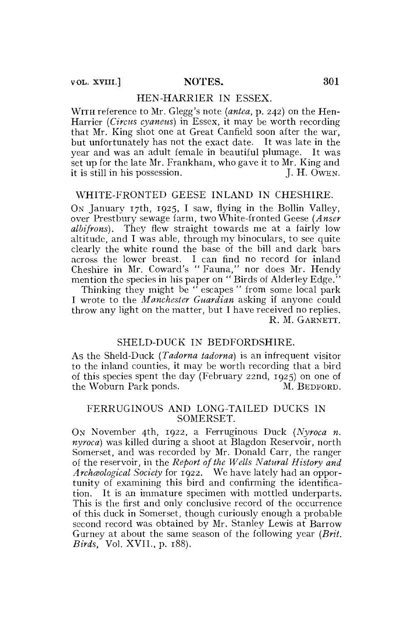### HEN-HARRIER IN ESSEX.

WITH reference to Mr. Glegg's note *(antea,* p. 242) on the Hen-Harrier *(Circus cyaneus)* in Essex, it may be worth recording that Mr. King shot one at Great Canfield soon after the war, but unfortunately has not the exact date. It was late in the year and was an adult female in beautiful plumage. It was set up for the late Mr. Frankham, who gave it to Mr. King and it is still in his possession. J. H. OWEN.

# WHITE-FRONTED GEESE INLAND IN CHESHIRE.

ON January 17th, 1925, I saw, flying in the Bollin Valley, over Prestbury sewage farm, two White-fronted Geese *(Anser albifrons).* They flew straight towards me at a fairly low altitude, and I was able, through my binoculars, to see quite clearly the white round the base of the bill and dark bars across the lower breast. I can find no record for inland Cheshire in Mr. Coward's " Fauna," nor does Mr. Hendy mention the species in his paper on "Birds of Alderley Edge."

Thinking they might be " escapes " from some local park I wrote to the *Manchester Guardian* asking if anyone could throw any light on the matter, but I have received no replies. R. M. GARNETT.

# SHELD-DUCK IN BEDFORDSHIRE.

As the Sheld-Duck *(Tadorna tadorna)* is an infrequent visitor to the inland counties, it may be worth recording that a bird of this species spent the day (February 22nd,  $1925$ ) on one of the Woburn Park ponds. M. BEDEORD. the Woburn Park ponds.

#### FERRUGINOUS AND LONG-TAILED DUCKS IN SOMERSET.

ON November 4th, 1922, a Ferruginous Duck *(Nyroca n. nyroca)* was killed during a shoot at Blagdon Reservoir, north Somerset, and was recorded by Mr. Donald Carr, the ranger of the reservoir, in the *Report of the Wells Natural History and Archceological Society* for 1922. We have lately had an opportunity of examining this bird and confirming the identification. It is an immature specimen with mottled underparts. This is the first and only conclusive record of the occurrence of this duck in Somerset, though curiously enough a probable second record was obtained by Mr. Stanley Lewis at Barrow Gurney at about the same season of the following year *(Brit. Birds,* Vol. XVII., p. 188).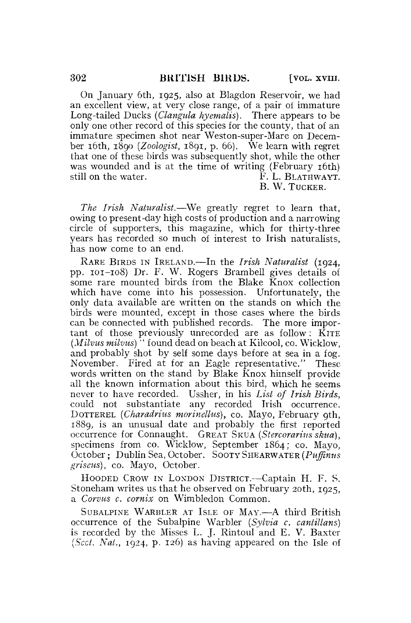On January 6th, 1925, also at Blagdon Reservoir, we had an excellent view, at very close range, of a pair of immature Long-tailed Ducks *(Clangula hyemalis).* There appears to be only one other record of this species for the county, that of an immature specimen shot near Weston-super-Mare on December 16th, 1890 *{Zoologist,* 1891, p. 66). We learn with regret that one of these birds was subsequently shot, while the other was wounded and is at the time of writing (February 16th) still on the water. The state of the state of the state of the state of the state of the state of the state of the state of the state of the state of the state of the state of the state of the state of the state of the sta

B. W. TUCKER.

*The Irish Naturalist.*—We greatly regret to learn that, owing to present-day high costs of production and a narrowing circle of supporters, this magazine, which for thirty-three years has recorded so much of interest to Irish naturalists, has now come to an end.

RARE BIRDS IN IRELAND.—In the *Irish Naturalist* (1924, pp. 101-108) Dr. F. W. Rogers Brambell gives details of some rare mounted birds from the Blake Knox collection which have come into his possession. Unfortunately, the only data available are written on the stands on which the birds were mounted, except in those cases where the birds can be connected with published records. The more important of those previously unrecorded are as follow:  $\overline{K}$ ITE *(Milvus milvus)''* found dead on beach at Kilcool, co. Wicklow, and probably shot by self some days before at sea in a fog. November. Fired at for an Eagle representative." These words written on the stand by Blake Knox himself provide all the known information about this bird, which he seems never to have recorded. Ussher, in his *List of Irish Birds,*  could not substantiate any recorded Irish occurrence. DOTTEREL *(Charadrius morinellus)*, co. Mayo, February 9th, 1889, is an unusual date and probably the first reported occurrence for Connaught. GREAT SKUA *(Stercorarius skua),*  specimens from co. Wicklow, September 1864; co. Mayo, October; Dublin Sea, October. SOOTY SHEARWATER *(Puffinus griseus),* co. Mayo, October.

HOODED CROW IN LONDON DISTRICT.—Captain H. F. S. Stoneham writes us that he observed on February 20th, 1925, a *Corvus c. comix* on Wimbledon Common.

SUBALPINE WARBLER AT ISLE OF MAY.—A third British occurrence of the Subalpine Warbler *(Sylvia c. cantillans)*  is recorded by the Misses L. J. Rintoul and E. V. Baxter *(Sect. Nat.,* 1924, p. 126) as having appeared on the Isle of